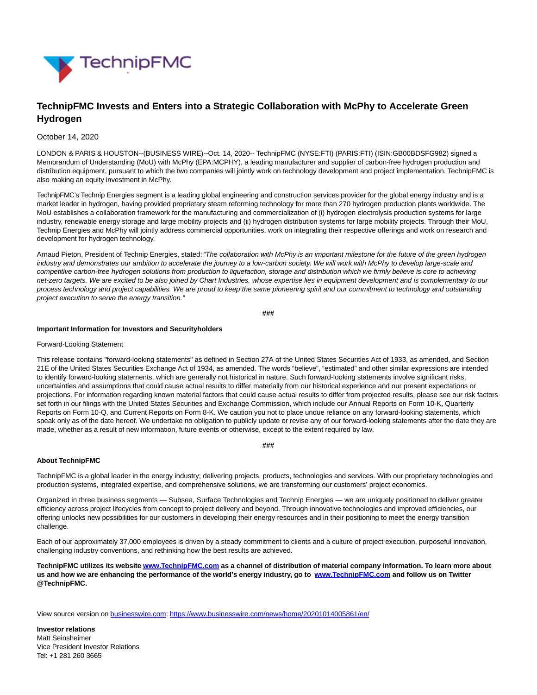

# **TechnipFMC Invests and Enters into a Strategic Collaboration with McPhy to Accelerate Green Hydrogen**

## October 14, 2020

LONDON & PARIS & HOUSTON--(BUSINESS WIRE)--Oct. 14, 2020-- TechnipFMC (NYSE:FTI) (PARIS:FTI) (ISIN:GB00BDSFG982) signed a Memorandum of Understanding (MoU) with McPhy (EPA:MCPHY), a leading manufacturer and supplier of carbon-free hydrogen production and distribution equipment, pursuant to which the two companies will jointly work on technology development and project implementation. TechnipFMC is also making an equity investment in McPhy.

TechnipFMC's Technip Energies segment is a leading global engineering and construction services provider for the global energy industry and is a market leader in hydrogen, having provided proprietary steam reforming technology for more than 270 hydrogen production plants worldwide. The MoU establishes a collaboration framework for the manufacturing and commercialization of (i) hydrogen electrolysis production systems for large industry, renewable energy storage and large mobility projects and (ii) hydrogen distribution systems for large mobility projects. Through their MoU, Technip Energies and McPhy will jointly address commercial opportunities, work on integrating their respective offerings and work on research and development for hydrogen technology.

Arnaud Pieton, President of Technip Energies, stated: "The collaboration with McPhy is an important milestone for the future of the green hydrogen industry and demonstrates our ambition to accelerate the journey to a low-carbon society. We will work with McPhy to develop large-scale and competitive carbon-free hydrogen solutions from production to liquefaction, storage and distribution which we firmly believe is core to achieving net-zero targets. We are excited to be also joined by Chart Industries, whose expertise lies in equipment development and is complementary to our process technology and project capabilities. We are proud to keep the same pioneering spirit and our commitment to technology and outstanding project execution to serve the energy transition."

**###**

## **Important Information for Investors and Securityholders**

#### Forward-Looking Statement

This release contains "forward-looking statements" as defined in Section 27A of the United States Securities Act of 1933, as amended, and Section 21E of the United States Securities Exchange Act of 1934, as amended. The words "believe", "estimated" and other similar expressions are intended to identify forward-looking statements, which are generally not historical in nature. Such forward-looking statements involve significant risks, uncertainties and assumptions that could cause actual results to differ materially from our historical experience and our present expectations or projections. For information regarding known material factors that could cause actual results to differ from projected results, please see our risk factors set forth in our filings with the United States Securities and Exchange Commission, which include our Annual Reports on Form 10-K, Quarterly Reports on Form 10-Q, and Current Reports on Form 8-K. We caution you not to place undue reliance on any forward-looking statements, which speak only as of the date hereof. We undertake no obligation to publicly update or revise any of our forward-looking statements after the date they are made, whether as a result of new information, future events or otherwise, except to the extent required by law.

#### **###**

### **About TechnipFMC**

TechnipFMC is a global leader in the energy industry; delivering projects, products, technologies and services. With our proprietary technologies and production systems, integrated expertise, and comprehensive solutions, we are transforming our customers' project economics.

Organized in three business segments — Subsea, Surface Technologies and Technip Energies — we are uniquely positioned to deliver greater efficiency across project lifecycles from concept to project delivery and beyond. Through innovative technologies and improved efficiencies, our offering unlocks new possibilities for our customers in developing their energy resources and in their positioning to meet the energy transition challenge.

Each of our approximately 37,000 employees is driven by a steady commitment to clients and a culture of project execution, purposeful innovation, challenging industry conventions, and rethinking how the best results are achieved.

**TechnipFMC utilizes its websit[e www.TechnipFMC.com a](https://cts.businesswire.com/ct/CT?id=smartlink&url=http%3A%2F%2Fwww.TechnipFMC.com&esheet=52306432&newsitemid=20201014005861&lan=en-US&anchor=www.TechnipFMC.com&index=1&md5=24750b200909c6c7ece328b042778a1e)s a channel of distribution of material company information. To learn more about us and how we are enhancing the performance of the world's energy industry, go to [www.TechnipFMC.com a](https://cts.businesswire.com/ct/CT?id=smartlink&url=http%3A%2F%2Fwww.TechnipFMC.com&esheet=52306432&newsitemid=20201014005861&lan=en-US&anchor=www.TechnipFMC.com&index=2&md5=8226712202c61324602cf2569b304b32)nd follow us on Twitter @TechnipFMC.**

View source version on [businesswire.com:](http://businesswire.com/)<https://www.businesswire.com/news/home/20201014005861/en/>

**Investor relations** Matt Seinsheimer Vice President Investor Relations Tel: +1 281 260 3665